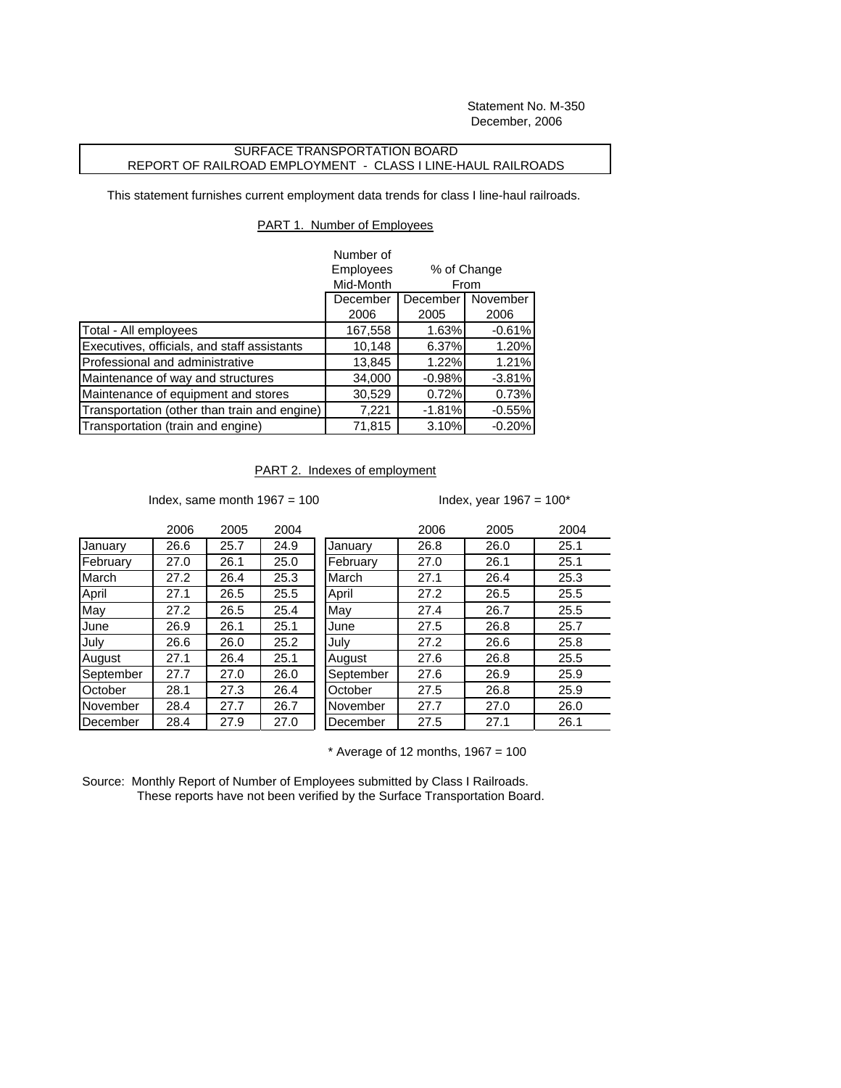Statement No. M-350 December, 2006

## SURFACE TRANSPORTATION BOARD REPORT OF RAILROAD EMPLOYMENT - CLASS I LINE-HAUL RAILROADS

This statement furnishes current employment data trends for class I line-haul railroads.

## PART 1. Number of Employees

|                                              | Number of |                                             |          |
|----------------------------------------------|-----------|---------------------------------------------|----------|
|                                              | Employees | % of Change<br>From<br>November<br>December |          |
|                                              | Mid-Month |                                             |          |
|                                              | December  |                                             |          |
|                                              | 2006      | 2005                                        | 2006     |
| Total - All employees                        | 167,558   | 1.63%                                       | $-0.61%$ |
| Executives, officials, and staff assistants  | 10,148    | 6.37%                                       | 1.20%    |
| Professional and administrative              | 13,845    | 1.22%                                       | 1.21%    |
| Maintenance of way and structures            | 34,000    | $-0.98%$                                    | $-3.81%$ |
| Maintenance of equipment and stores          | 30,529    | 0.72%                                       | 0.73%    |
| Transportation (other than train and engine) | 7,221     | $-1.81%$                                    | $-0.55%$ |
| Transportation (train and engine)            | 71,815    | 3.10%                                       | $-0.20%$ |

## PART 2. Indexes of employment

Index, same month  $1967 = 100$  Index, year  $1967 = 100$ \*

|           | 2006 | 2005 | 2004 |           | 2006 | 2005 | 2004 |
|-----------|------|------|------|-----------|------|------|------|
| January   | 26.6 | 25.7 | 24.9 | January   | 26.8 | 26.0 | 25.1 |
| February  | 27.0 | 26.1 | 25.0 | February  | 27.0 | 26.1 | 25.1 |
| March     | 27.2 | 26.4 | 25.3 | March     | 27.1 | 26.4 | 25.3 |
| April     | 27.1 | 26.5 | 25.5 | April     | 27.2 | 26.5 | 25.5 |
| May       | 27.2 | 26.5 | 25.4 | May       | 27.4 | 26.7 | 25.5 |
| June      | 26.9 | 26.1 | 25.1 | June      | 27.5 | 26.8 | 25.7 |
| July      | 26.6 | 26.0 | 25.2 | July      | 27.2 | 26.6 | 25.8 |
| August    | 27.1 | 26.4 | 25.1 | August    | 27.6 | 26.8 | 25.5 |
| September | 27.7 | 27.0 | 26.0 | September | 27.6 | 26.9 | 25.9 |
| October   | 28.1 | 27.3 | 26.4 | October   | 27.5 | 26.8 | 25.9 |
| November  | 28.4 | 27.7 | 26.7 | November  | 27.7 | 27.0 | 26.0 |
| December  | 28.4 | 27.9 | 27.0 | December  | 27.5 | 27.1 | 26.1 |
|           |      |      |      |           |      |      |      |

 $*$  Average of 12 months, 1967 = 100

Source: Monthly Report of Number of Employees submitted by Class I Railroads. These reports have not been verified by the Surface Transportation Board.